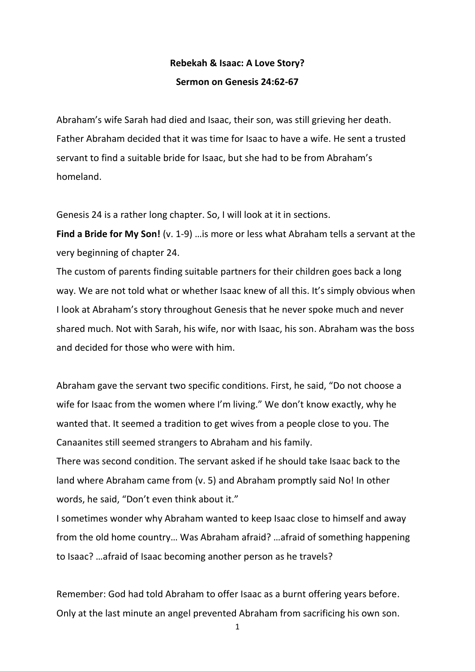## **Rebekah & Isaac: A Love Story? Sermon on Genesis 24:62-67**

Abraham's wife Sarah had died and Isaac, their son, was still grieving her death. Father Abraham decided that it was time for Isaac to have a wife. He sent a trusted servant to find a suitable bride for Isaac, but she had to be from Abraham's homeland.

Genesis 24 is a rather long chapter. So, I will look at it in sections.

**Find a Bride for My Son!** (v. 1-9) …is more or less what Abraham tells a servant at the very beginning of chapter 24.

The custom of parents finding suitable partners for their children goes back a long way. We are not told what or whether Isaac knew of all this. It's simply obvious when I look at Abraham's story throughout Genesis that he never spoke much and never shared much. Not with Sarah, his wife, nor with Isaac, his son. Abraham was the boss and decided for those who were with him.

Abraham gave the servant two specific conditions. First, he said, "Do not choose a wife for Isaac from the women where I'm living." We don't know exactly, why he wanted that. It seemed a tradition to get wives from a people close to you. The Canaanites still seemed strangers to Abraham and his family.

There was second condition. The servant asked if he should take Isaac back to the land where Abraham came from (v. 5) and Abraham promptly said No! In other words, he said, "Don't even think about it."

I sometimes wonder why Abraham wanted to keep Isaac close to himself and away from the old home country… Was Abraham afraid? …afraid of something happening to Isaac? …afraid of Isaac becoming another person as he travels?

Remember: God had told Abraham to offer Isaac as a burnt offering years before. Only at the last minute an angel prevented Abraham from sacrificing his own son.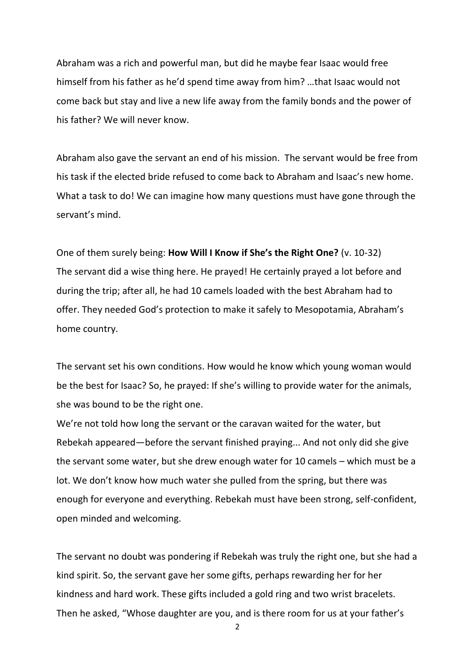Abraham was a rich and powerful man, but did he maybe fear Isaac would free himself from his father as he'd spend time away from him? …that Isaac would not come back but stay and live a new life away from the family bonds and the power of his father? We will never know.

Abraham also gave the servant an end of his mission. The servant would be free from his task if the elected bride refused to come back to Abraham and Isaac's new home. What a task to do! We can imagine how many questions must have gone through the servant's mind.

One of them surely being: **How Will I Know if She's the Right One?** (v. 10-32) The servant did a wise thing here. He prayed! He certainly prayed a lot before and during the trip; after all, he had 10 camels loaded with the best Abraham had to offer. They needed God's protection to make it safely to Mesopotamia, Abraham's home country.

The servant set his own conditions. How would he know which young woman would be the best for Isaac? So, he prayed: If she's willing to provide water for the animals, she was bound to be the right one.

We're not told how long the servant or the caravan waited for the water, but Rebekah appeared—before the servant finished praying... And not only did she give the servant some water, but she drew enough water for 10 camels – which must be a lot. We don't know how much water she pulled from the spring, but there was enough for everyone and everything. Rebekah must have been strong, self-confident, open minded and welcoming.

The servant no doubt was pondering if Rebekah was truly the right one, but she had a kind spirit. So, the servant gave her some gifts, perhaps rewarding her for her kindness and hard work. These gifts included a gold ring and two wrist bracelets. Then he asked, "Whose daughter are you, and is there room for us at your father's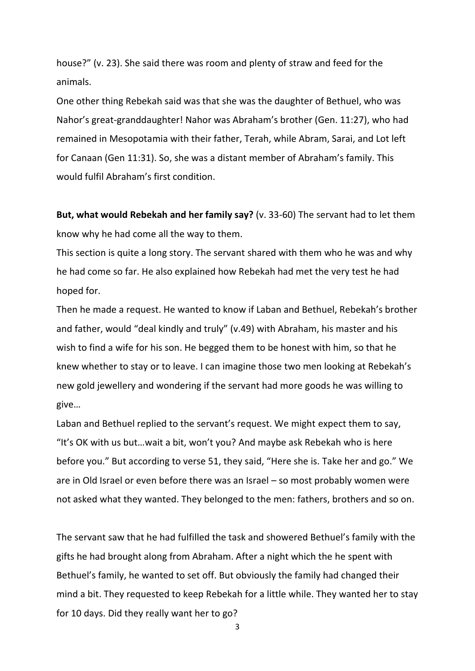house?" (v. 23). She said there was room and plenty of straw and feed for the animals.

One other thing Rebekah said was that she was the daughter of Bethuel, who was Nahor's great-granddaughter! Nahor was Abraham's brother (Gen. 11:27), who had remained in Mesopotamia with their father, Terah, while Abram, Sarai, and Lot left for Canaan (Gen 11:31). So, she was a distant member of Abraham's family. This would fulfil Abraham's first condition.

**But, what would Rebekah and her family say?** (v. 33-60) The servant had to let them know why he had come all the way to them.

This section is quite a long story. The servant shared with them who he was and why he had come so far. He also explained how Rebekah had met the very test he had hoped for.

Then he made a request. He wanted to know if Laban and Bethuel, Rebekah's brother and father, would "deal kindly and truly" (v.49) with Abraham, his master and his wish to find a wife for his son. He begged them to be honest with him, so that he knew whether to stay or to leave. I can imagine those two men looking at Rebekah's new gold jewellery and wondering if the servant had more goods he was willing to give…

Laban and Bethuel replied to the servant's request. We might expect them to say, "It's OK with us but…wait a bit, won't you? And maybe ask Rebekah who is here before you." But according to verse 51, they said, "Here she is. Take her and go." We are in Old Israel or even before there was an Israel – so most probably women were not asked what they wanted. They belonged to the men: fathers, brothers and so on.

The servant saw that he had fulfilled the task and showered Bethuel's family with the gifts he had brought along from Abraham. After a night which the he spent with Bethuel's family, he wanted to set off. But obviously the family had changed their mind a bit. They requested to keep Rebekah for a little while. They wanted her to stay for 10 days. Did they really want her to go?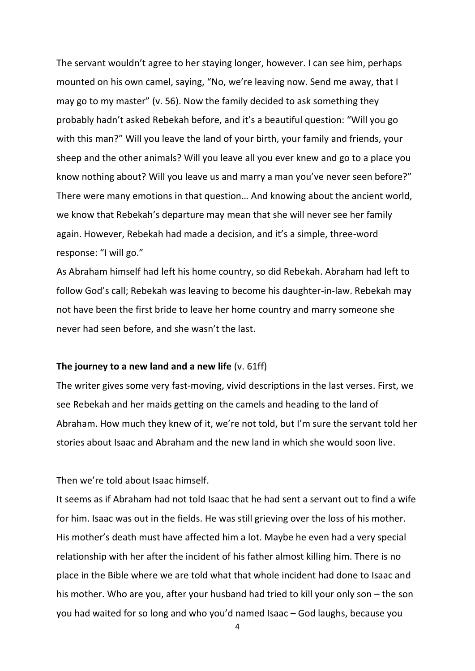The servant wouldn't agree to her staying longer, however. I can see him, perhaps mounted on his own camel, saying, "No, we're leaving now. Send me away, that I may go to my master" (v. 56). Now the family decided to ask something they probably hadn't asked Rebekah before, and it's a beautiful question: "Will you go with this man?" Will you leave the land of your birth, your family and friends, your sheep and the other animals? Will you leave all you ever knew and go to a place you know nothing about? Will you leave us and marry a man you've never seen before?" There were many emotions in that question… And knowing about the ancient world, we know that Rebekah's departure may mean that she will never see her family again. However, Rebekah had made a decision, and it's a simple, three-word response: "I will go."

As Abraham himself had left his home country, so did Rebekah. Abraham had left to follow God's call; Rebekah was leaving to become his daughter-in-law. Rebekah may not have been the first bride to leave her home country and marry someone she never had seen before, and she wasn't the last.

## **The journey to a new land and a new life** (v. 61ff)

The writer gives some very fast-moving, vivid descriptions in the last verses. First, we see Rebekah and her maids getting on the camels and heading to the land of Abraham. How much they knew of it, we're not told, but I'm sure the servant told her stories about Isaac and Abraham and the new land in which she would soon live.

## Then we're told about Isaac himself.

It seems as if Abraham had not told Isaac that he had sent a servant out to find a wife for him. Isaac was out in the fields. He was still grieving over the loss of his mother. His mother's death must have affected him a lot. Maybe he even had a very special relationship with her after the incident of his father almost killing him. There is no place in the Bible where we are told what that whole incident had done to Isaac and his mother. Who are you, after your husband had tried to kill your only son – the son you had waited for so long and who you'd named Isaac – God laughs, because you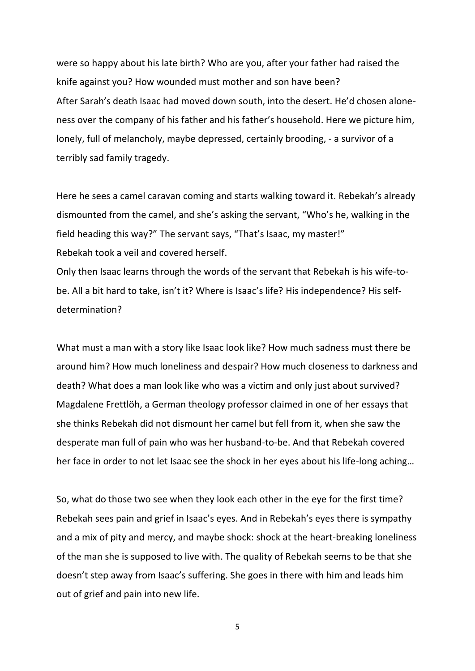were so happy about his late birth? Who are you, after your father had raised the knife against you? How wounded must mother and son have been? After Sarah's death Isaac had moved down south, into the desert. He'd chosen aloneness over the company of his father and his father's household. Here we picture him, lonely, full of melancholy, maybe depressed, certainly brooding, - a survivor of a terribly sad family tragedy.

Here he sees a camel caravan coming and starts walking toward it. Rebekah's already dismounted from the camel, and she's asking the servant, "Who's he, walking in the field heading this way?" The servant says, "That's Isaac, my master!" Rebekah took a veil and covered herself.

Only then Isaac learns through the words of the servant that Rebekah is his wife-tobe. All a bit hard to take, isn't it? Where is Isaac's life? His independence? His selfdetermination?

What must a man with a story like Isaac look like? How much sadness must there be around him? How much loneliness and despair? How much closeness to darkness and death? What does a man look like who was a victim and only just about survived? Magdalene Frettlöh, a German theology professor claimed in one of her essays that she thinks Rebekah did not dismount her camel but fell from it, when she saw the desperate man full of pain who was her husband-to-be. And that Rebekah covered her face in order to not let Isaac see the shock in her eyes about his life-long aching…

So, what do those two see when they look each other in the eye for the first time? Rebekah sees pain and grief in Isaac's eyes. And in Rebekah's eyes there is sympathy and a mix of pity and mercy, and maybe shock: shock at the heart-breaking loneliness of the man she is supposed to live with. The quality of Rebekah seems to be that she doesn't step away from Isaac's suffering. She goes in there with him and leads him out of grief and pain into new life.